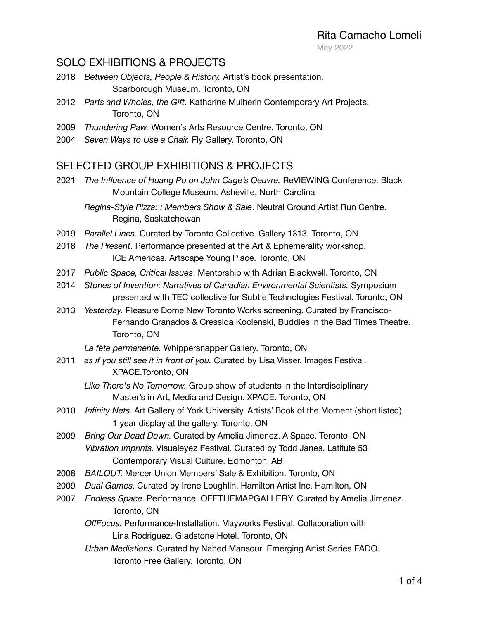May 2022

#### SOLO EXHIBITIONS & PROJECTS

- 2018 *Between Objects, People & History.* Artist's book presentation. Scarborough Museum. Toronto, ON
- 2012 *Parts and Wholes, the Gift.* Katharine Mulherin Contemporary Art Projects. Toronto, ON
- 2009 *Thundering Paw.* Women's Arts Resource Centre. Toronto, ON
- 2004 *Seven Ways to Use a Chair.* Fly Gallery. Toronto, ON

#### SELECTED GROUP EXHIBITIONS & PROJECTS

2021 *The Influence of Huang Po on John Cage's Oeuvre.* ReVIEWING Conference. Black Mountain College Museum. Asheville, North Carolina

- 2019 *Parallel Lines*. Curated by Toronto Collective. Gallery 1313. Toronto, ON
- 2018 *The Present*. Performance presented at the Art & Ephemerality workshop. ICE Americas. Artscape Young Place. Toronto, ON
- 2017 *Public Space, Critical Issues*. Mentorship with Adrian Blackwell. Toronto, ON
- 2014 *Stories of Invention: Narratives of Canadian Environmental Scientists.* Symposium presented with TEC collective for Subtle Technologies Festival. Toronto, ON
- 2013 *Yesterday.* Pleasure Dome New Toronto Works screening. Curated by Francisco- Fernando Granados & Cressida Kocienski, Buddies in the Bad Times Theatre. Toronto, ON

*La fête permanente.* Whippersnapper Gallery. Toronto, ON

- 2011 *as if you still see it in front of you.* Curated by Lisa Visser. Images Festival. XPACE.Toronto, ON
	- *Like There's No Tomorrow.* Group show of students in the Interdisciplinary Master's in Art, Media and Design. XPACE. Toronto, ON
- 2010 *Infinity Nets.* Art Gallery of York University. Artists' Book of the Moment (short listed) 1 year display at the gallery. Toronto, ON
- 2009 *Bring Our Dead Down.* Curated by Amelia Jimenez. A Space. Toronto, ON *Vibration Imprints.* Visualeyez Festival. Curated by Todd Janes. Latitute 53 Contemporary Visual Culture. Edmonton, AB
- 2008 *BAILOUT.* Mercer Union Members' Sale & Exhibition. Toronto, ON
- 2009 *Dual Games.* Curated by Irene Loughlin. Hamilton Artist Inc. Hamilton, ON
- 2007 *Endless Space.* Performance. OFFTHEMAPGALLERY. Curated by Amelia Jimenez. Toronto, ON
	- *OffFocus.* Performance-Installation. Mayworks Festival. Collaboration with Lina Rodriguez. Gladstone Hotel. Toronto, ON
	- *Urban Mediations.* Curated by Nahed Mansour. Emerging Artist Series FADO. Toronto Free Gallery. Toronto, ON

*Regina-Style Pizza: : Members Show & Sale*. Neutral Ground Artist Run Centre. Regina, Saskatchewan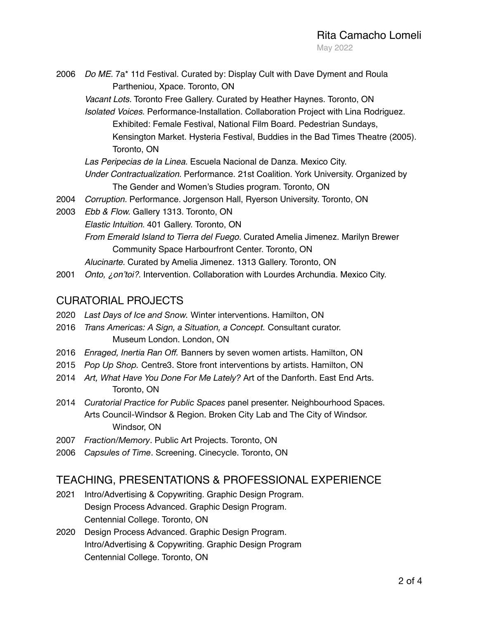2006 *Do ME.* 7a\* 11d Festival. Curated by: Display Cult with Dave Dyment and Roula Partheniou, Xpace. Toronto, ON

*Vacant Lots.* Toronto Free Gallery. Curated by Heather Haynes. Toronto, ON

- *Isolated Voices.* Performance-Installation. Collaboration Project with Lina Rodriguez. Exhibited: Female Festival, National Film Board. Pedestrian Sundays, Kensington Market. Hysteria Festival, Buddies in the Bad Times Theatre (2005). Toronto, ON
- *Las Peripecias de la Linea.* Escuela Nacional de Danza. Mexico City.

```
Under Contractualization. Performance. 21st Coalition. York University. Organized by 
The Gender and Women's Studies program. Toronto, ON
```
- 2004 *Corruption.* Performance. Jorgenson Hall, Ryerson University. Toronto, ON
- 2003 *Ebb & Flow.* Gallery 1313. Toronto, ON *Elastic Intuition.* 401 Gallery. Toronto, ON *From Emerald Island to Tierra del Fuego.* Curated Amelia Jimenez. Marilyn Brewer Community Space Harbourfront Center. Toronto, ON *Alucinarte.* Curated by Amelia Jimenez. 1313 Gallery. Toronto, ON
- 2001 *Onto, ¿on'toi?.* Intervention. Collaboration with Lourdes Archundia. Mexico City.

### CURATORIAL PROJECTS

- 2020 *Last Days of Ice and Snow.* Winter interventions. Hamilton, ON
- 2016 *Trans Americas: A Sign, a Situation, a Concept.* Consultant curator. Museum London. London, ON
- 2016 *Enraged, Inertia Ran Off.* Banners by seven women artists. Hamilton, ON
- 2015 *Pop Up Shop.* Centre3. Store front interventions by artists. Hamilton, ON
- 2014 *Art, What Have You Done For Me Lately?* Art of the Danforth. East End Arts. Toronto, ON
- 2014 *Curatorial Practice for Public Spaces* panel presenter. Neighbourhood Spaces. Arts Council-Windsor & Region. Broken City Lab and The City of Windsor. Windsor, ON
- 2007 *Fraction/Memory*. Public Art Projects. Toronto, ON
- 2006 *Capsules of Time*. Screening. Cinecycle. Toronto, ON

### TEACHING, PRESENTATIONS & PROFESSIONAL EXPERIENCE

- 2021 Intro/Advertising & Copywriting. Graphic Design Program. Design Process Advanced. Graphic Design Program. Centennial College. Toronto, ON
- 2020 Design Process Advanced. Graphic Design Program. Intro/Advertising & Copywriting. Graphic Design Program Centennial College. Toronto, ON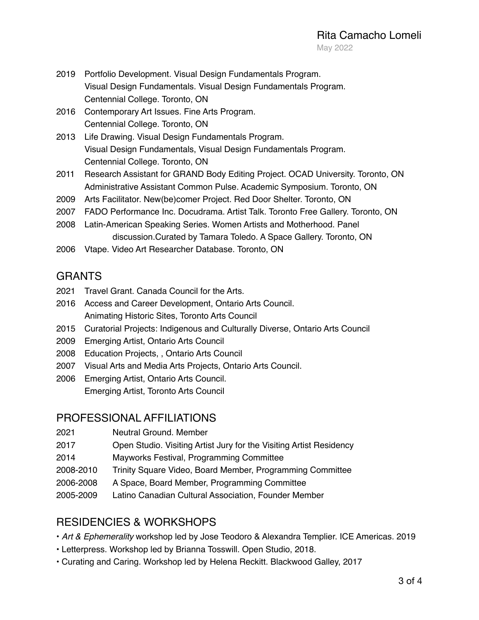- 2019 Portfolio Development. Visual Design Fundamentals Program. Visual Design Fundamentals. Visual Design Fundamentals Program. Centennial College. Toronto, ON
- 2016 Contemporary Art Issues. Fine Arts Program. Centennial College. Toronto, ON
- 2013 Life Drawing. Visual Design Fundamentals Program. Visual Design Fundamentals, Visual Design Fundamentals Program. Centennial College. Toronto, ON
- 2011 Research Assistant for GRAND Body Editing Project. OCAD University. Toronto, ON Administrative Assistant Common Pulse. Academic Symposium. Toronto, ON
- 2009 Arts Facilitator. New(be)comer Project. Red Door Shelter. Toronto, ON
- 2007 FADO Performance Inc. Docudrama. Artist Talk. Toronto Free Gallery. Toronto, ON
- 2008 Latin-American Speaking Series. Women Artists and Motherhood. Panel discussion.Curated by Tamara Toledo. A Space Gallery. Toronto, ON
- 2006 Vtape. Video Art Researcher Database. Toronto, ON

## GRANTS

- 2021 Travel Grant. Canada Council for the Arts.
- 2016 Access and Career Development, Ontario Arts Council. Animating Historic Sites, Toronto Arts Council
- 2015 Curatorial Projects: Indigenous and Culturally Diverse, Ontario Arts Council
- 2009 Emerging Artist, Ontario Arts Council
- 2008 Education Projects, , Ontario Arts Council
- 2007 Visual Arts and Media Arts Projects, Ontario Arts Council.
- 2006 Emerging Artist, Ontario Arts Council. Emerging Artist, Toronto Arts Council

### PROFESSIONAL AFFILIATIONS

- 2021 Neutral Ground. Member
- 2017 Open Studio. Visiting Artist Jury for the Visiting Artist Residency
- 2014 Mayworks Festival, Programming Committee
- 2008-2010 Trinity Square Video, Board Member, Programming Committee
- 2006-2008 A Space, Board Member, Programming Committee
- 2005-2009 Latino Canadian Cultural Association, Founder Member

# RESIDENCIES & WORKSHOPS

- *Art & Ephemerality* workshop led by Jose Teodoro & Alexandra Templier. ICE Americas. 2019
- Letterpress. Workshop led by Brianna Tosswill. Open Studio, 2018.
- Curating and Caring. Workshop led by Helena Reckitt. Blackwood Galley, 2017